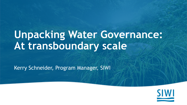# **Unpacking Water Governance: At transboundary scale**

Kerry Schneider, Program Manager, SIWI

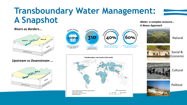#### **Transboundary Water Management: A Snapshot** *Water: a complex resource... A Nexus Approach*

#### *Rivers as Borders...*



*Upstream vs Downstream ...*







sourced from transboundary aquifer systems

considere (crossing the political boundaries of 2+ countries)

Number of river basing

310

primary source of freshwater

Nage of the world's

40%

that relies on these rivers as a

that lacks any type of cooperative management framework

60%

Natural



Social & Economic



**Cultural** 



Political

#### Transboundary river basins of the world

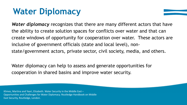#### **Water Diplomacy**

*Water diplomacy* recognizes that there are many different actors that have the ability to create solution spaces for conflicts over water and that can create windows of opportunity for cooperation over water. These actors are inclusive of government officials (state and local level), nonstate/government actors, private sector, civil society, media, and others.

Water diplomacy can help to assess and generate opportunities for cooperation in shared basins and improve water security.

Klimes, Martina and Yaari, Elizabeth. Water Security in the Middle East – Opportunities and Challenges for Water Diplomacy. Routledge Handbook on Middle East Security, Routledge, London.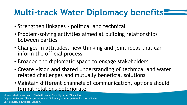### **Multi-track Water Diplomacy benefits**

- Strengthen linkages political and technical
- Problem-solving activities aimed at building relationships between parties
- Changes in attitudes, new thinking and joint ideas that can inform the official process
- Broaden the diplomatic space to engage stakeholders
- Create vision and shared understanding of technical and water related challenges and mutually beneficial solutions
- Maintain different channels of communication, options should formal relations deteriorate

Klimes, Martina and Yaari, Elizabeth. Water Security in the Middle East – Opportunities and Challenges for Water Diplomacy. Routledge Handbook on Middle East Security, Routledge, London.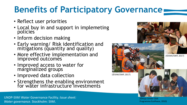## **Benefits of Participatory Governance**

- Reflect user priorities
- Local buy in and support in implemeting policies
- Inform decision making
- Early warning/ Risk identification and mitigations (quantity and quality)
- More effective implementation and improved outcomes
- Improved access to water for marginalized groups
- Improved data collection
- Strengthens the enabling environment for water infrastructure investments



(©Auja Center CGIS Programme EcoPeace, 2010)

UNDP-SIWI Water Governance Facility. *Issue sheet: Water governance*. Stockholm: SIWI.